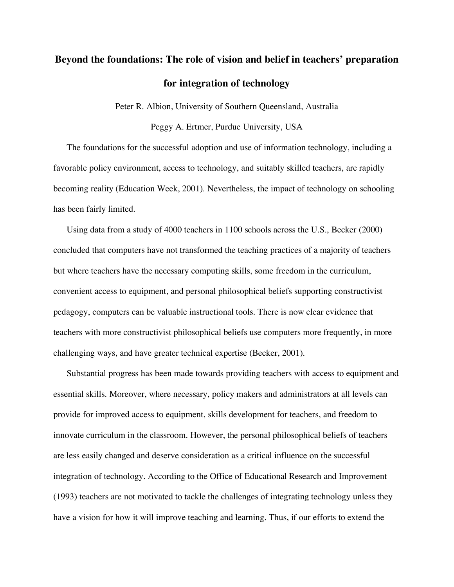# **Beyond the foundations: The role of vision and belief in teachers' preparation for integration of technology**

Peter R. Albion, University of Southern Queensland, Australia

Peggy A. Ertmer, Purdue University, USA

The foundations for the successful adoption and use of information technology, including a favorable policy environment, access to technology, and suitably skilled teachers, are rapidly becoming reality (Education Week, 2001). Nevertheless, the impact of technology on schooling has been fairly limited.

Using data from a study of 4000 teachers in 1100 schools across the U.S., Becker (2000) concluded that computers have not transformed the teaching practices of a majority of teachers but where teachers have the necessary computing skills, some freedom in the curriculum, convenient access to equipment, and personal philosophical beliefs supporting constructivist pedagogy, computers can be valuable instructional tools. There is now clear evidence that teachers with more constructivist philosophical beliefs use computers more frequently, in more challenging ways, and have greater technical expertise (Becker, 2001).

Substantial progress has been made towards providing teachers with access to equipment and essential skills. Moreover, where necessary, policy makers and administrators at all levels can provide for improved access to equipment, skills development for teachers, and freedom to innovate curriculum in the classroom. However, the personal philosophical beliefs of teachers are less easily changed and deserve consideration as a critical influence on the successful integration of technology. According to the Office of Educational Research and Improvement (1993) teachers are not motivated to tackle the challenges of integrating technology unless they have a vision for how it will improve teaching and learning. Thus, if our efforts to extend the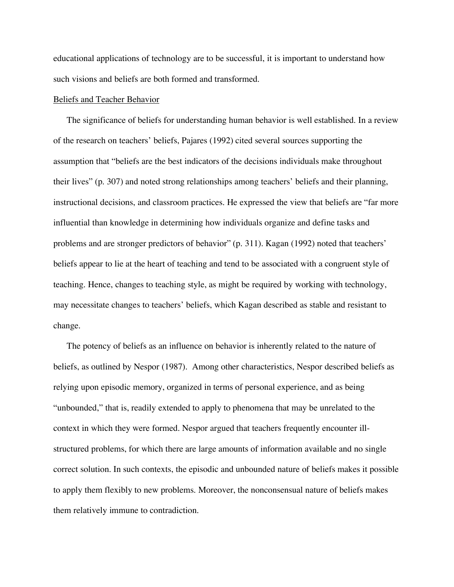educational applications of technology are to be successful, it is important to understand how such visions and beliefs are both formed and transformed.

## Beliefs and Teacher Behavior

The significance of beliefs for understanding human behavior is well established. In a review of the research on teachers' beliefs, Pajares (1992) cited several sources supporting the assumption that "beliefs are the best indicators of the decisions individuals make throughout their lives" (p. 307) and noted strong relationships among teachers' beliefs and their planning, instructional decisions, and classroom practices. He expressed the view that beliefs are "far more influential than knowledge in determining how individuals organize and define tasks and problems and are stronger predictors of behavior" (p. 311). Kagan (1992) noted that teachers' beliefs appear to lie at the heart of teaching and tend to be associated with a congruent style of teaching. Hence, changes to teaching style, as might be required by working with technology, may necessitate changes to teachers' beliefs, which Kagan described as stable and resistant to change.

The potency of beliefs as an influence on behavior is inherently related to the nature of beliefs, as outlined by Nespor (1987). Among other characteristics, Nespor described beliefs as relying upon episodic memory, organized in terms of personal experience, and as being "unbounded," that is, readily extended to apply to phenomena that may be unrelated to the context in which they were formed. Nespor argued that teachers frequently encounter illstructured problems, for which there are large amounts of information available and no single correct solution. In such contexts, the episodic and unbounded nature of beliefs makes it possible to apply them flexibly to new problems. Moreover, the nonconsensual nature of beliefs makes them relatively immune to contradiction.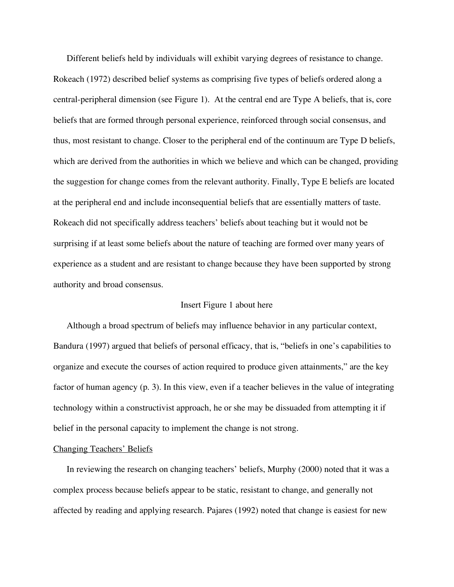Different beliefs held by individuals will exhibit varying degrees of resistance to change. Rokeach (1972) described belief systems as comprising five types of beliefs ordered along a central-peripheral dimension (see Figure 1). At the central end are Type A beliefs, that is, core beliefs that are formed through personal experience, reinforced through social consensus, and thus, most resistant to change. Closer to the peripheral end of the continuum are Type D beliefs, which are derived from the authorities in which we believe and which can be changed, providing the suggestion for change comes from the relevant authority. Finally, Type E beliefs are located at the peripheral end and include inconsequential beliefs that are essentially matters of taste. Rokeach did not specifically address teachers' beliefs about teaching but it would not be surprising if at least some beliefs about the nature of teaching are formed over many years of experience as a student and are resistant to change because they have been supported by strong authority and broad consensus.

### Insert Figure 1 about here

Although a broad spectrum of beliefs may influence behavior in any particular context, Bandura (1997) argued that beliefs of personal efficacy, that is, "beliefs in one's capabilities to organize and execute the courses of action required to produce given attainments," are the key factor of human agency (p. 3). In this view, even if a teacher believes in the value of integrating technology within a constructivist approach, he or she may be dissuaded from attempting it if belief in the personal capacity to implement the change is not strong.

#### Changing Teachers' Beliefs

In reviewing the research on changing teachers' beliefs, Murphy (2000) noted that it was a complex process because beliefs appear to be static, resistant to change, and generally not affected by reading and applying research. Pajares (1992) noted that change is easiest for new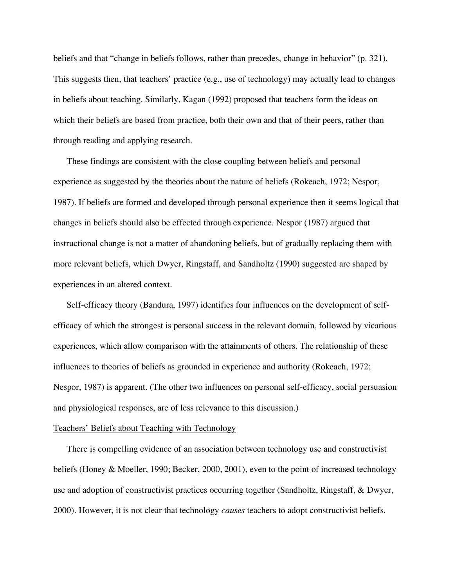beliefs and that "change in beliefs follows, rather than precedes, change in behavior" (p. 321). This suggests then, that teachers' practice (e.g., use of technology) may actually lead to changes in beliefs about teaching. Similarly, Kagan (1992) proposed that teachers form the ideas on which their beliefs are based from practice, both their own and that of their peers, rather than through reading and applying research.

These findings are consistent with the close coupling between beliefs and personal experience as suggested by the theories about the nature of beliefs (Rokeach, 1972; Nespor, 1987). If beliefs are formed and developed through personal experience then it seems logical that changes in beliefs should also be effected through experience. Nespor (1987) argued that instructional change is not a matter of abandoning beliefs, but of gradually replacing them with more relevant beliefs, which Dwyer, Ringstaff, and Sandholtz (1990) suggested are shaped by experiences in an altered context.

Self-efficacy theory (Bandura, 1997) identifies four influences on the development of selfefficacy of which the strongest is personal success in the relevant domain, followed by vicarious experiences, which allow comparison with the attainments of others. The relationship of these influences to theories of beliefs as grounded in experience and authority (Rokeach, 1972; Nespor, 1987) is apparent. (The other two influences on personal self-efficacy, social persuasion and physiological responses, are of less relevance to this discussion.)

#### Teachers' Beliefs about Teaching with Technology

There is compelling evidence of an association between technology use and constructivist beliefs (Honey & Moeller, 1990; Becker, 2000, 2001), even to the point of increased technology use and adoption of constructivist practices occurring together (Sandholtz, Ringstaff, & Dwyer, 2000). However, it is not clear that technology *causes* teachers to adopt constructivist beliefs.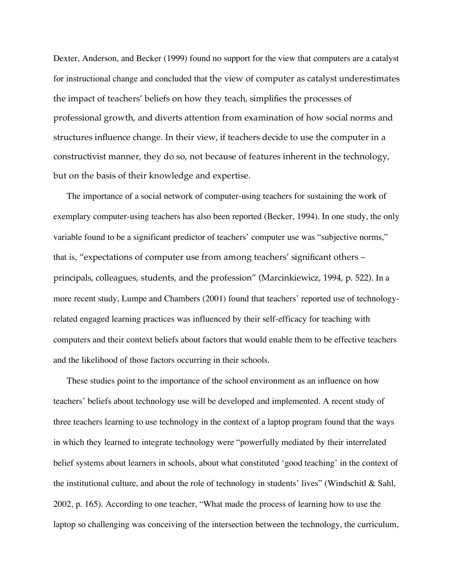Dexter, Anderson, and Becker (1999) found no support for the view that computers are a catalyst for instructional change and concluded that the view of computer as catalyst underestimates the impact of teachers' beliefs on how they teach, simplifies the processes of professional growth, and diverts attention from examination of how social norms and structures influence change. In their view, if teachers decide to use the computer in a constructivist manner, they do so, not because of features inherent in the technology, but on the basis of their knowledge and expertise.

The importance of a social network of computer-using teachers for sustaining the work of exemplary computer-using teachers has also been reported (Becker, 1994). In one study, the only variable found to be a significant predictor of teachers' computer use was "subjective norms," that is, "expectations of computer use from among teachers' significant others – principals, colleagues, students, and the profession" (Marcinkiewicz, 1994, p. 522). In a more recent study, Lumpe and Chambers (2001) found that teachers' reported use of technologyrelated engaged learning practices was influenced by their self-efficacy for teaching with computers and their context beliefs about factors that would enable them to be effective teachers and the likelihood of those factors occurring in their schools.

These studies point to the importance of the school environment as an influence on how teachers' beliefs about technology use will be developed and implemented. A recent study of three teachers learning to use technology in the context of a laptop program found that the ways in which they learned to integrate technology were "powerfully mediated by their interrelated belief systems about learners in schools, about what constituted 'good teaching' in the context of the institutional culture, and about the role of technology in students' lives" (Windschitl & Sahl, 2002, p. 165). According to one teacher, "What made the process of learning how to use the laptop so challenging was conceiving of the intersection between the technology, the curriculum,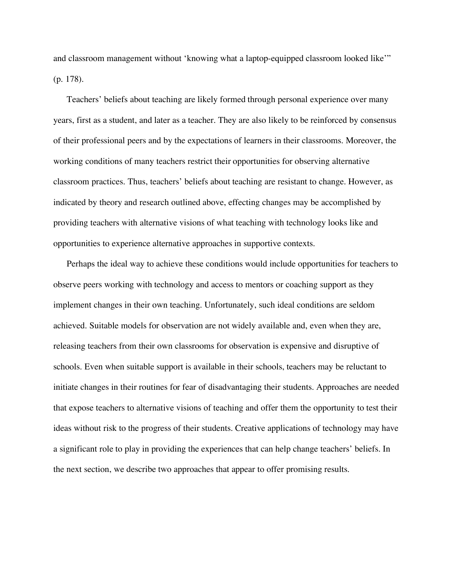and classroom management without 'knowing what a laptop-equipped classroom looked like'" (p. 178).

Teachers' beliefs about teaching are likely formed through personal experience over many years, first as a student, and later as a teacher. They are also likely to be reinforced by consensus of their professional peers and by the expectations of learners in their classrooms. Moreover, the working conditions of many teachers restrict their opportunities for observing alternative classroom practices. Thus, teachers' beliefs about teaching are resistant to change. However, as indicated by theory and research outlined above, effecting changes may be accomplished by providing teachers with alternative visions of what teaching with technology looks like and opportunities to experience alternative approaches in supportive contexts.

Perhaps the ideal way to achieve these conditions would include opportunities for teachers to observe peers working with technology and access to mentors or coaching support as they implement changes in their own teaching. Unfortunately, such ideal conditions are seldom achieved. Suitable models for observation are not widely available and, even when they are, releasing teachers from their own classrooms for observation is expensive and disruptive of schools. Even when suitable support is available in their schools, teachers may be reluctant to initiate changes in their routines for fear of disadvantaging their students. Approaches are needed that expose teachers to alternative visions of teaching and offer them the opportunity to test their ideas without risk to the progress of their students. Creative applications of technology may have a significant role to play in providing the experiences that can help change teachers' beliefs. In the next section, we describe two approaches that appear to offer promising results.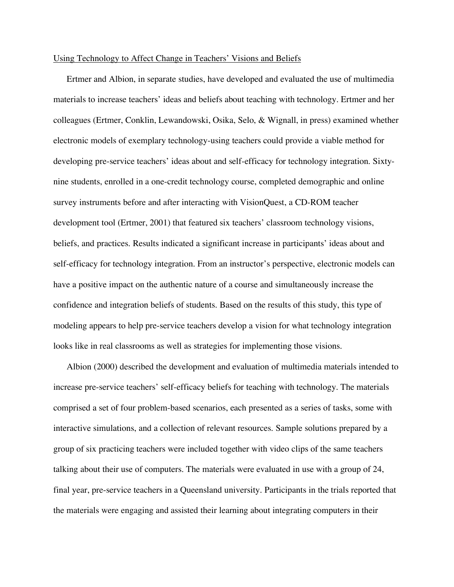#### Using Technology to Affect Change in Teachers' Visions and Beliefs

Ertmer and Albion, in separate studies, have developed and evaluated the use of multimedia materials to increase teachers' ideas and beliefs about teaching with technology. Ertmer and her colleagues (Ertmer, Conklin, Lewandowski, Osika, Selo, & Wignall, in press) examined whether electronic models of exemplary technology-using teachers could provide a viable method for developing pre-service teachers' ideas about and self-efficacy for technology integration. Sixtynine students, enrolled in a one-credit technology course, completed demographic and online survey instruments before and after interacting with VisionQuest, a CD-ROM teacher development tool (Ertmer, 2001) that featured six teachers' classroom technology visions, beliefs, and practices. Results indicated a significant increase in participants' ideas about and self-efficacy for technology integration. From an instructor's perspective, electronic models can have a positive impact on the authentic nature of a course and simultaneously increase the confidence and integration beliefs of students. Based on the results of this study, this type of modeling appears to help pre-service teachers develop a vision for what technology integration looks like in real classrooms as well as strategies for implementing those visions.

Albion (2000) described the development and evaluation of multimedia materials intended to increase pre-service teachers' self-efficacy beliefs for teaching with technology. The materials comprised a set of four problem-based scenarios, each presented as a series of tasks, some with interactive simulations, and a collection of relevant resources. Sample solutions prepared by a group of six practicing teachers were included together with video clips of the same teachers talking about their use of computers. The materials were evaluated in use with a group of 24, final year, pre-service teachers in a Queensland university. Participants in the trials reported that the materials were engaging and assisted their learning about integrating computers in their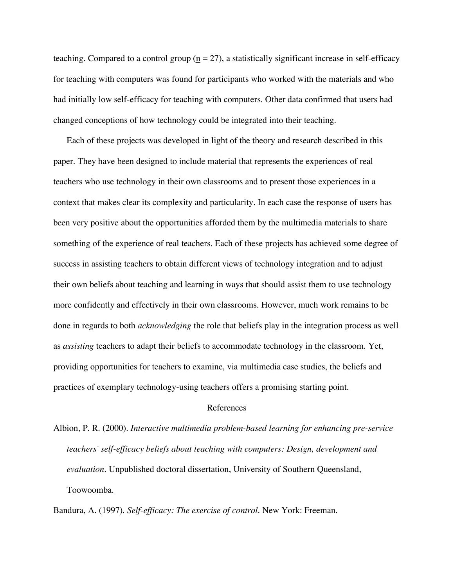teaching. Compared to a control group  $(n = 27)$ , a statistically significant increase in self-efficacy for teaching with computers was found for participants who worked with the materials and who had initially low self-efficacy for teaching with computers. Other data confirmed that users had changed conceptions of how technology could be integrated into their teaching.

Each of these projects was developed in light of the theory and research described in this paper. They have been designed to include material that represents the experiences of real teachers who use technology in their own classrooms and to present those experiences in a context that makes clear its complexity and particularity. In each case the response of users has been very positive about the opportunities afforded them by the multimedia materials to share something of the experience of real teachers. Each of these projects has achieved some degree of success in assisting teachers to obtain different views of technology integration and to adjust their own beliefs about teaching and learning in ways that should assist them to use technology more confidently and effectively in their own classrooms. However, much work remains to be done in regards to both *acknowledging* the role that beliefs play in the integration process as well as *assisting* teachers to adapt their beliefs to accommodate technology in the classroom. Yet, providing opportunities for teachers to examine, via multimedia case studies, the beliefs and practices of exemplary technology-using teachers offers a promising starting point.

# References

Albion, P. R. (2000). *Interactive multimedia problem-based learning for enhancing pre-service teachers' self-efficacy beliefs about teaching with computers: Design, development and evaluation.* Unpublished doctoral dissertation, University of Southern Queensland, Toowoomba.

Bandura, A. (1997). *Self-efficacy: The exercise of control*. New York: Freeman.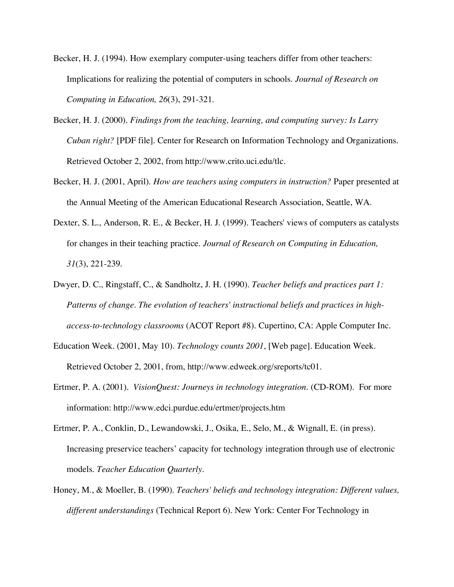- Becker, H. J. (1994). How exemplary computer-using teachers differ from other teachers: Implications for realizing the potential of computers in schools. *Journal of Research on Computing in Education, 26*(3), 291-321.
- Becker, H. J. (2000). *Findings from the teaching, learning, and computing survey: Is Larry Cuban right?* [PDF file]. Center for Research on Information Technology and Organizations. Retrieved October 2, 2002, from http://www.crito.uci.edu/tlc.
- Becker, H. J. (2001, April). *How are teachers using computers in instruction?* Paper presented at the Annual Meeting of the American Educational Research Association, Seattle, WA.
- Dexter, S. L., Anderson, R. E., & Becker, H. J. (1999). Teachers' views of computers as catalysts for changes in their teaching practice. *Journal of Research on Computing in Education, 31*(3), 221-239.
- Dwyer, D. C., Ringstaff, C., & Sandholtz, J. H. (1990). *Teacher beliefs and practices part 1: Patterns of change. The evolution of teachers' instructional beliefs and practices in highaccess-to-technology classrooms* (ACOT Report #8). Cupertino, CA: Apple Computer Inc.
- Education Week. (2001, May 10). *Technology counts 2001*, [Web page]. Education Week. Retrieved October 2, 2001, from, http://www.edweek.org/sreports/tc01.
- Ertmer, P. A. (2001). *VisionQuest: Journeys in technology integration*. (CD-ROM). For more information: http://www.edci.purdue.edu/ertmer/projects.htm
- Ertmer, P. A., Conklin, D., Lewandowski, J., Osika, E., Selo, M., & Wignall, E. (in press). Increasing preservice teachers' capacity for technology integration through use of electronic models. *Teacher Education Quarterly*.
- Honey, M., & Moeller, B. (1990). *Teachers' beliefs and technology integration: Different values, different understandings* (Technical Report 6). New York: Center For Technology in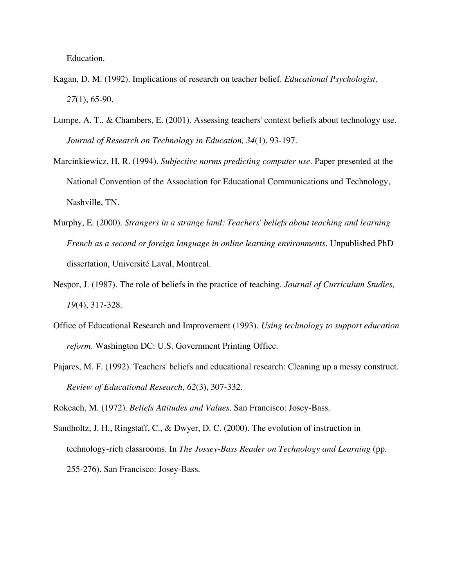Education.

- Kagan, D. M. (1992). Implications of research on teacher belief. *Educational Psychologist, 27*(1), 65-90.
- Lumpe, A. T., & Chambers, E. (2001). Assessing teachers' context beliefs about technology use. *Journal of Research on Technology in Education, 34*(1), 93-197.
- Marcinkiewicz, H. R. (1994). *Subjective norms predicting computer use.* Paper presented at the National Convention of the Association for Educational Communications and Technology, Nashville, TN.
- Murphy, E. (2000). *Strangers in a strange land: Teachers' beliefs about teaching and learning French as a second or foreign language in online learning environments.* Unpublished PhD dissertation, Université Laval, Montreal.
- Nespor, J. (1987). The role of beliefs in the practice of teaching. *Journal of Curriculum Studies, 19*(4), 317-328.
- Office of Educational Research and Improvement (1993). *Using technology to support education reform*. Washington DC: U.S. Government Printing Office.
- Pajares, M. F. (1992). Teachers' beliefs and educational research: Cleaning up a messy construct. *Review of Educational Research, 62*(3), 307-332.

Rokeach, M. (1972). *Beliefs Attitudes and Values*. San Francisco: Josey-Bass.

Sandholtz, J. H., Ringstaff, C., & Dwyer, D. C. (2000). The evolution of instruction in technology-rich classrooms. In *The Jossey-Bass Reader on Technology and Learning* (pp. 255-276). San Francisco: Josey-Bass.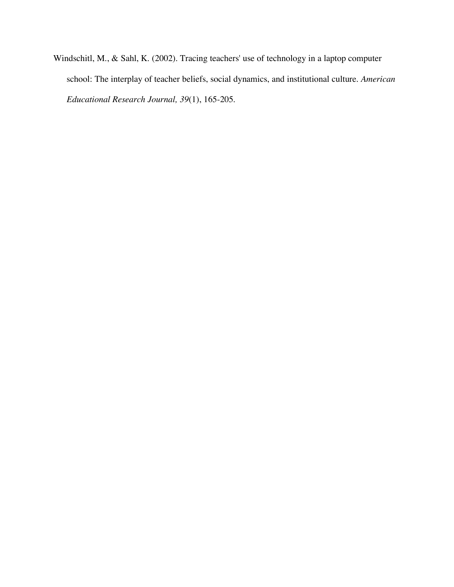Windschitl, M., & Sahl, K. (2002). Tracing teachers' use of technology in a laptop computer school: The interplay of teacher beliefs, social dynamics, and institutional culture. *American Educational Research Journal, 39*(1), 165-205.